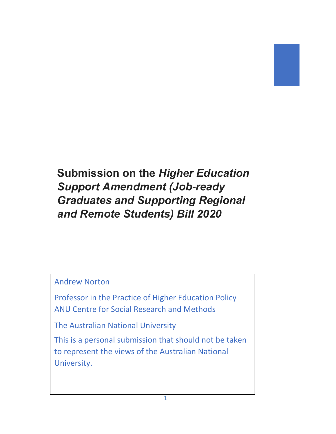# **Submission on the** *Higher Education Support Amendment (Job-ready Graduates and Supporting Regional and Remote Students) Bill 2020*

## Andrew Norton

Professor in the Practice of Higher Education Policy ANU Centre for Social Research and Methods

The Australian National University

This is a personal submission that should not be taken to represent the views of the Australian National University.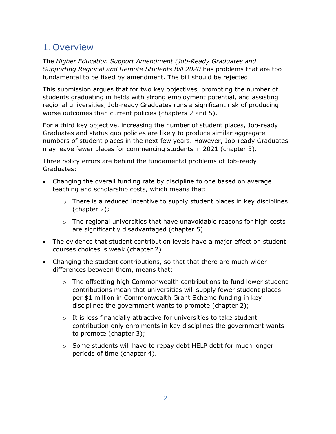## 1.Overview

The *Higher Education Support Amendment (Job-Ready Graduates and Supporting Regional and Remote Students Bill 2020* has problems that are too fundamental to be fixed by amendment. The bill should be rejected.

This submission argues that for two key objectives, promoting the number of students graduating in fields with strong employment potential, and assisting regional universities, Job-ready Graduates runs a significant risk of producing worse outcomes than current policies (chapters 2 and 5).

For a third key objective, increasing the number of student places, Job-ready Graduates and status quo policies are likely to produce similar aggregate numbers of student places in the next few years. However, Job-ready Graduates may leave fewer places for commencing students in 2021 (chapter [3\)](#page-11-0).

Three policy errors are behind the fundamental problems of Job-ready Graduates:

- Changing the overall funding rate by discipline to one based on average teaching and scholarship costs, which means that:
	- o There is a reduced incentive to supply student places in key disciplines (chapter [2\)](#page-3-0);
	- $\circ$  The regional universities that have unavoidable reasons for high costs are significantly disadvantaged (chapter [5\)](#page-24-0).
- The evidence that student contribution levels have a major effect on student courses choices is weak (chapter [2\)](#page-3-0).
- Changing the student contributions, so that that there are much wider differences between them, means that:
	- $\circ$  The offsetting high Commonwealth contributions to fund lower student contributions mean that universities will supply fewer student places per \$1 million in Commonwealth Grant Scheme funding in key disciplines the government wants to promote (chapter [2\)](#page-3-0);
	- $\circ$  It is less financially attractive for universities to take student contribution only enrolments in key disciplines the government wants to promote (chapter 3);
	- $\circ$  Some students will have to repay debt HELP debt for much longer periods of time (chapter [4\)](#page-20-0).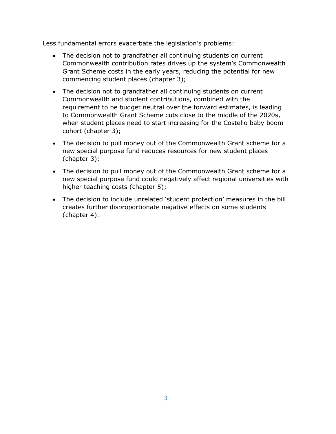Less fundamental errors exacerbate the legislation's problems:

- The decision not to grandfather all continuing students on current Commonwealth contribution rates drives up the system's Commonwealth Grant Scheme costs in the early years, reducing the potential for new commencing student places (chapter 3);
- The decision not to grandfather all continuing students on current Commonwealth and student contributions, combined with the requirement to be budget neutral over the forward estimates, is leading to Commonwealth Grant Scheme cuts close to the middle of the 2020s, when student places need to start increasing for the Costello baby boom cohort (chapter 3);
- The decision to pull money out of the Commonwealth Grant scheme for a new special purpose fund reduces resources for new student places (chapter 3);
- The decision to pull money out of the Commonwealth Grant scheme for a new special purpose fund could negatively affect regional universities with higher teaching costs (chapter [5\)](#page-24-0);
- The decision to include unrelated 'student protection' measures in the bill creates further disproportionate negative effects on some students (chapter [4\)](#page-20-0).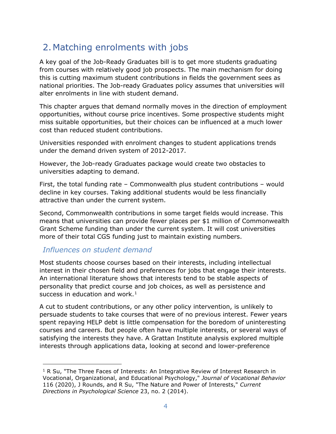## <span id="page-3-0"></span>2.Matching enrolments with jobs

A key goal of the Job-Ready Graduates bill is to get more students graduating from courses with relatively good job prospects. The main mechanism for doing this is cutting maximum student contributions in fields the government sees as national priorities. The Job-ready Graduates policy assumes that universities will alter enrolments in line with student demand.

This chapter argues that demand normally moves in the direction of employment opportunities, without course price incentives. Some prospective students might miss suitable opportunities, but their choices can be influenced at a much lower cost than reduced student contributions.

Universities responded with enrolment changes to student applications trends under the demand driven system of 2012-2017.

However, the Job-ready Graduates package would create two obstacles to universities adapting to demand.

First, the total funding rate – Commonwealth plus student contributions – would decline in key courses. Taking additional students would be less financially attractive than under the current system.

Second, Commonwealth contributions in some target fields would increase. This means that universities can provide fewer places per \$1 million of Commonwealth Grant Scheme funding than under the current system. It will cost universities more of their total CGS funding just to maintain existing numbers.

### *Influences on student demand*

Most students choose courses based on their interests, including intellectual interest in their chosen field and preferences for jobs that engage their interests. An international literature shows that interests tend to be stable aspects of personality that predict course and job choices, as well as persistence and success in education and work. $<sup>1</sup>$  $<sup>1</sup>$  $<sup>1</sup>$ </sup>

A cut to student contributions, or any other policy intervention, is unlikely to persuade students to take courses that were of no previous interest. Fewer years spent repaying HELP debt is little compensation for the boredom of uninteresting courses and careers. But people often have multiple interests, or several ways of satisfying the interests they have. A Grattan Institute analysis explored multiple interests through applications data, looking at second and lower-preference

<span id="page-3-1"></span> $1 R$  Su, "The Three Faces of Interests: An Integrative Review of Interest Research in Vocational, Organizational, and Educational Psychology," *Journal of Vocational Behavior* 116 (2020), J Rounds, and R Su, "The Nature and Power of Interests," *Current Directions in Psychological Science* 23, no. 2 (2014).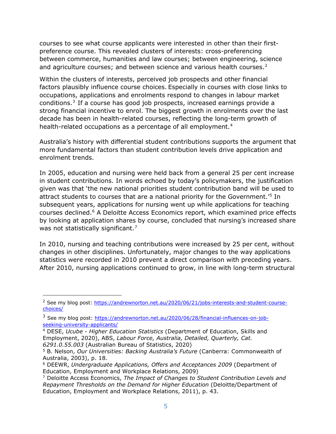courses to see what course applicants were interested in other than their firstpreference course. This revealed clusters of interests: cross-preferencing between commerce, humanities and law courses; between engineering, science and agriculture courses; and between science and various health courses. $2^2$  $2^2$ 

Within the clusters of interests, perceived job prospects and other financial factors plausibly influence course choices. Especially in courses with close links to occupations, applications and enrolments respond to changes in labour market conditions[.3](#page-4-1) If a course has good job prospects, increased earnings provide a strong financial incentive to enrol. The biggest growth in enrolments over the last decade has been in health-related courses, reflecting the long-term growth of health-related occupations as a percentage of all employment.<sup>[4](#page-4-2)</sup>

Australia's history with differential student contributions supports the argument that more fundamental factors than student contribution levels drive application and enrolment trends.

In 2005, education and nursing were held back from a general 25 per cent increase in student contributions. In words echoed by today's policymakers, the justification given was that 'the new national priorities student contribution band will be used to attract students to courses that are a national priority for the Government.['5](#page-4-3) In subsequent years, applications for nursing went up while applications for teaching courses declined.[6](#page-4-4) A Deloitte Access Economics report, which examined price effects by looking at application shares by course, concluded that nursing's increased share was not statistically significant.<sup>[7](#page-4-5)</sup>

In 2010, nursing and teaching contributions were increased by 25 per cent, without changes in other disciplines. Unfortunately, major changes to the way applications statistics were recorded in 2010 prevent a direct comparison with preceding years. After 2010, nursing applications continued to grow, in line with long-term structural

<span id="page-4-0"></span><sup>&</sup>lt;sup>2</sup> See my blog post: [https://andrewnorton.net.au/2020/06/21/jobs-interests-and-student-course](https://andrewnorton.net.au/2020/06/21/jobs-interests-and-student-course-choices/)[choices/](https://andrewnorton.net.au/2020/06/21/jobs-interests-and-student-course-choices/)

<span id="page-4-1"></span><sup>3</sup> See my blog post: [https://andrewnorton.net.au/2020/06/28/financial-influences-on-job](https://andrewnorton.net.au/2020/06/28/financial-influences-on-job-seeking-university-applicants/)[seeking-university-applicants/](https://andrewnorton.net.au/2020/06/28/financial-influences-on-job-seeking-university-applicants/)

<span id="page-4-2"></span><sup>4</sup> DESE, *Ucube - Higher Education Statistics* (Department of Education, Skills and Employment, 2020), ABS, *Labour Force, Australia, Detailed, Quarterly, Cat. 6291.0.55.003* (Australian Bureau of Statistics, 2020)

<span id="page-4-3"></span><sup>5</sup> B. Nelson, *Our Universities: Backing Australia's Future* (Canberra: Commonwealth of Australia, 2003), p. 18.

<span id="page-4-4"></span><sup>6</sup> DEEWR, *Undergraduate Applications, Offers and Acceptances 2009* (Department of Education, Employment and Workplace Relations, 2009)

<span id="page-4-5"></span><sup>7</sup> Deloitte Access Economics, *The Impact of Changes to Student Contribution Levels and Repayment Thresholds on the Demand for Higher Education* (Deloitte/Department of Education, Employment and Workplace Relations, 2011), p. 43.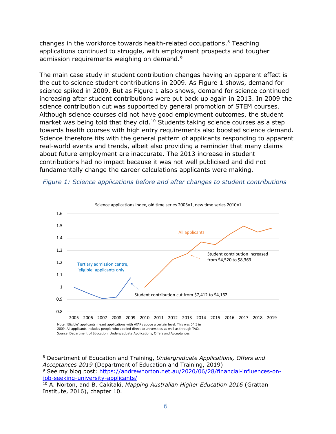changes in the workforce towards health-related occupations.[8](#page-5-1) Teaching applications continued to struggle, with employment prospects and tougher admission requirements weighing on demand.<sup>[9](#page-5-2)</sup>

The main case study in student contribution changes having an apparent effect is the cut to science student contributions in 2009. As [Figure 1](#page-5-0) shows, demand for science spiked in 2009. But as [Figure 1](#page-5-0) also shows, demand for science continued increasing after student contributions were put back up again in 2013. In 2009 the science contribution cut was supported by general promotion of STEM courses. Although science courses did not have good employment outcomes, the student market was being told that they did.<sup>[10](#page-5-3)</sup> Students taking science courses as a step towards health courses with high entry requirements also boosted science demand. Science therefore fits with the general pattern of applicants responding to apparent real-world events and trends, albeit also providing a reminder that many claims about future employment are inaccurate. The 2013 increase in student contributions had no impact because it was not well publicised and did not fundamentally change the career calculations applicants were making.

<span id="page-5-0"></span>



<span id="page-5-1"></span><sup>8</sup> Department of Education and Training, *Undergraduate Applications, Offers and Acceptances 2019* (Department of Education and Training, 2019)

<span id="page-5-2"></span><sup>9</sup> See my blog post: [https://andrewnorton.net.au/2020/06/28/financial-influences-on](https://andrewnorton.net.au/2020/06/28/financial-influences-on-job-seeking-university-applicants/)[job-seeking-university-applicants/](https://andrewnorton.net.au/2020/06/28/financial-influences-on-job-seeking-university-applicants/)

<span id="page-5-3"></span><sup>10</sup> A. Norton, and B. Cakitaki, *Mapping Australian Higher Education 2016* (Grattan Institute, 2016), chapter 10.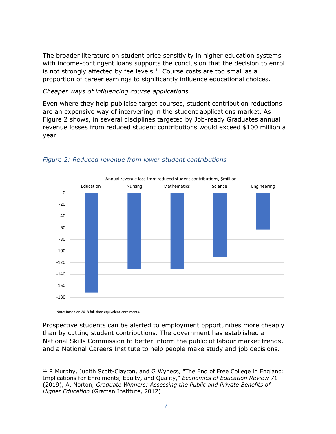The broader literature on student price sensitivity in higher education systems with income-contingent loans supports the conclusion that the decision to enrol is not strongly affected by fee levels.<sup>[11](#page-6-1)</sup> Course costs are too small as a proportion of career earnings to significantly influence educational choices.

#### *Cheaper ways of influencing course applications*

Even where they help publicise target courses, student contribution reductions are an expensive way of intervening in the student applications market. As [Figure 2](#page-6-0) shows, in several disciplines targeted by Job-ready Graduates annual revenue losses from reduced student contributions would exceed \$100 million a year.



#### <span id="page-6-0"></span>*Figure 2: Reduced revenue from lower student contributions*

Note: Based on 2018 full-time equivalent enrolments.

Prospective students can be alerted to employment opportunities more cheaply than by cutting student contributions. The government has established a National Skills Commission to better inform the public of labour market trends, and a National Careers Institute to help people make study and job decisions.

<span id="page-6-1"></span><sup>&</sup>lt;sup>11</sup> R Murphy, Judith Scott-Clayton, and G Wyness, "The End of Free College in England: Implications for Enrolments, Equity, and Quality," *Economics of Education Review* 71 (2019), A. Norton, *Graduate Winners: Assessing the Public and Private Benefits of Higher Education* (Grattan Institute, 2012)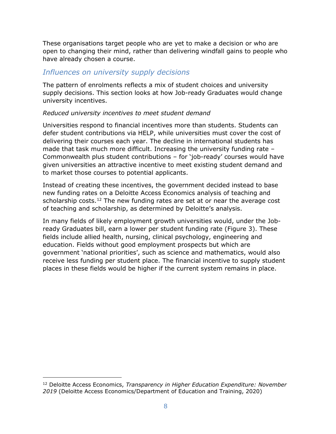These organisations target people who are yet to make a decision or who are open to changing their mind, rather than delivering windfall gains to people who have already chosen a course.

#### *Influences on university supply decisions*

The pattern of enrolments reflects a mix of student choices and university supply decisions. This section looks at how Job-ready Graduates would change university incentives.

#### *Reduced university incentives to meet student demand*

Universities respond to financial incentives more than students. Students can defer student contributions via HELP, while universities must cover the cost of delivering their courses each year. The decline in international students has made that task much more difficult. Increasing the university funding rate – Commonwealth plus student contributions – for 'job-ready' courses would have given universities an attractive incentive to meet existing student demand and to market those courses to potential applicants.

Instead of creating these incentives, the government decided instead to base new funding rates on a Deloitte Access Economics analysis of teaching and scholarship costs.<sup>[12](#page-7-0)</sup> The new funding rates are set at or near the average cost of teaching and scholarship, as determined by Deloitte's analysis.

In many fields of likely employment growth universities would, under the Jobready Graduates bill, earn a lower per student funding rate [\(Figure 3\)](#page-8-0). These fields include allied health, nursing, clinical psychology, engineering and education. Fields without good employment prospects but which are government 'national priorities', such as science and mathematics, would also receive less funding per student place. The financial incentive to supply student places in these fields would be higher if the current system remains in place.

<span id="page-7-0"></span><sup>12</sup> Deloitte Access Economics, *Transparency in Higher Education Expenditure: November 2019* (Deloitte Access Economics/Department of Education and Training, 2020)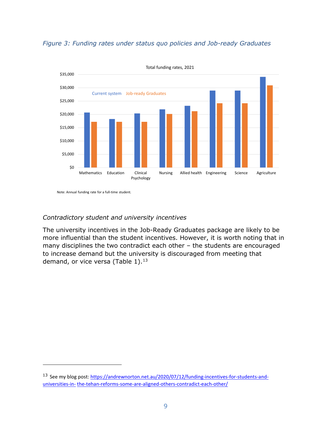

<span id="page-8-0"></span>

Note: Annual funding rate for a full-time student.

#### *Contradictory student and university incentives*

The university incentives in the Job-Ready Graduates package are likely to be more influential than the student incentives. However, it is worth noting that in many disciplines the two contradict each other – the students are encouraged to increase demand but the university is discouraged from meeting that demand, or vice versa (Table  $1$ ).<sup>[13](#page-8-1)</sup>

<span id="page-8-1"></span><sup>13</sup> See my blog post: [https://andrewnorton.net.au/2020/07/12/funding-incentives-for-students-and](https://andrewnorton.net.au/2020/07/12/funding-incentives-for-students-and-universities-in-the-tehan-reforms-some-are-aligned-others-contradict-each-other/)[universities-in-](https://andrewnorton.net.au/2020/07/12/funding-incentives-for-students-and-universities-in-the-tehan-reforms-some-are-aligned-others-contradict-each-other/) [the-tehan-reforms-some-are-aligned-others-contradict-each-other/](https://andrewnorton.net.au/2020/07/12/funding-incentives-for-students-and-universities-in-the-tehan-reforms-some-are-aligned-others-contradict-each-other/)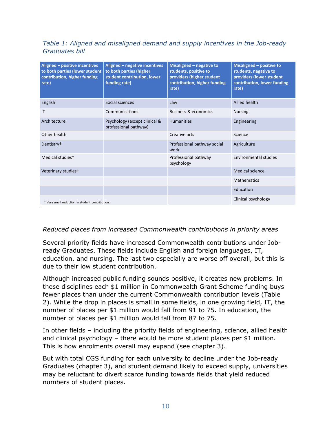#### <span id="page-9-0"></span>*Table 1: Aligned and misaligned demand and supply incentives in the Job-ready Graduates bill*

| Aligned - positive incentives<br>to both parties (lower student<br>contribution, higher funding<br>rate) | Aligned - negative incentives<br>to both parties (higher<br>student contribution, lower<br>funding rate) | Misaligned - negative to<br>students, positive to<br>providers (higher student<br>contribution, higher funding<br>rate) | Misaligned - positive to<br>students, negative to<br>providers (lower student<br>contribution, lower funding<br>rate) |
|----------------------------------------------------------------------------------------------------------|----------------------------------------------------------------------------------------------------------|-------------------------------------------------------------------------------------------------------------------------|-----------------------------------------------------------------------------------------------------------------------|
| English                                                                                                  | Social sciences                                                                                          | Law                                                                                                                     | <b>Allied health</b>                                                                                                  |
| $\mathsf{I}$                                                                                             | Communications                                                                                           | Business & economics                                                                                                    | <b>Nursing</b>                                                                                                        |
| Architecture                                                                                             | Psychology (except clinical &<br>professional pathway)                                                   | <b>Humanities</b>                                                                                                       | Engineering                                                                                                           |
| Other health                                                                                             |                                                                                                          | Creative arts                                                                                                           | Science                                                                                                               |
| Dentistry <sup>+</sup>                                                                                   |                                                                                                          | Professional pathway social<br>work                                                                                     | Agriculture                                                                                                           |
| Medical studies <sup>+</sup>                                                                             |                                                                                                          | Professional pathway<br>psychology                                                                                      | Environmental studies                                                                                                 |
| Veterinary studies <sup>+</sup>                                                                          |                                                                                                          |                                                                                                                         | Medical science                                                                                                       |
|                                                                                                          |                                                                                                          |                                                                                                                         | Mathematics                                                                                                           |
|                                                                                                          |                                                                                                          |                                                                                                                         | Education                                                                                                             |
| + Very small reduction in student contribution.                                                          |                                                                                                          |                                                                                                                         | Clinical psychology                                                                                                   |

#### *Reduced places from increased Commonwealth contributions in priority areas*

.

Several priority fields have increased Commonwealth contributions under Jobready Graduates. These fields include English and foreign languages, IT, education, and nursing. The last two especially are worse off overall, but this is due to their low student contribution.

Although increased public funding sounds positive, it creates new problems. In these disciplines each \$1 million in Commonwealth Grant Scheme funding buys fewer places than under the current Commonwealth contribution levels [\(Table](#page-10-0)  [2\)](#page-10-0). While the drop in places is small in some fields, in one growing field, IT, the number of places per \$1 million would fall from 91 to 75. In education, the number of places per \$1 million would fall from 87 to 75.

In other fields – including the priority fields of engineering, science, allied health and clinical psychology – there would be more student places per \$1 million. This is how enrolments overall may expand (see chapter [3\)](#page-11-0).

But with total CGS funding for each university to decline under the Job-ready Graduates (chapter [3\)](#page-11-0), and student demand likely to exceed supply, universities may be reluctant to divert scarce funding towards fields that yield reduced numbers of student places.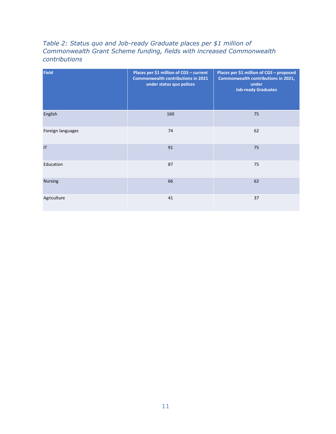#### <span id="page-10-0"></span>*Table 2: Status quo and Job-ready Graduate places per \$1 million of Commonwealth Grant Scheme funding, fields with increased Commonwealth contributions*

| <b>Field</b>           | Places per \$1 million of CGS - current<br><b>Commonwealth contributions in 2021</b><br>under status quo polices | Places per \$1 million of CGS - proposed<br>Commonwealth contributions in 2021,<br>under<br><b>Job-ready Graduates</b> |
|------------------------|------------------------------------------------------------------------------------------------------------------|------------------------------------------------------------------------------------------------------------------------|
| English                | 160                                                                                                              | 75                                                                                                                     |
| Foreign languages      | 74                                                                                                               | 62                                                                                                                     |
| $\mathsf{I}\mathsf{T}$ | 91                                                                                                               | 75                                                                                                                     |
| Education              | 87                                                                                                               | 75                                                                                                                     |
| <b>Nursing</b>         | 66                                                                                                               | 62                                                                                                                     |
| Agriculture            | 41                                                                                                               | 37                                                                                                                     |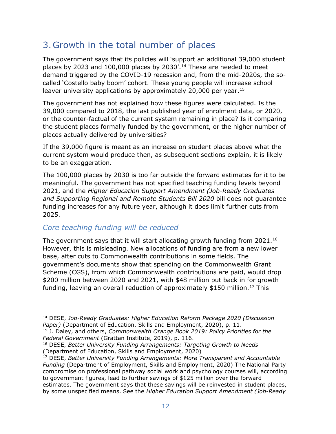## <span id="page-11-0"></span>3.Growth in the total number of places

The government says that its policies will 'support an additional 39,000 student places by 2023 and 100,000 places by 2030'.<sup>[14](#page-11-1)</sup> These are needed to meet demand triggered by the COVID-19 recession and, from the mid-2020s, the socalled 'Costello baby boom' cohort. These young people will increase school leaver university applications by approximately 20,000 per year.<sup>[15](#page-11-2)</sup>

The government has not explained how these figures were calculated. Is the 39,000 compared to 2018, the last published year of enrolment data, or 2020, or the counter-factual of the current system remaining in place? Is it comparing the student places formally funded by the government, or the higher number of places actually delivered by universities?

If the 39,000 figure is meant as an increase on student places above what the current system would produce then, as subsequent sections explain, it is likely to be an exaggeration.

The 100,000 places by 2030 is too far outside the forward estimates for it to be meaningful. The government has not specified teaching funding levels beyond 2021, and the *Higher Education Support Amendment (Job-Ready Graduates and Supporting Regional and Remote Students Bill 2020* bill does not guarantee funding increases for any future year, although it does limit further cuts from 2025.

### *Core teaching funding will be reduced*

The government says that it will start allocating growth funding from 2021.<sup>[16](#page-11-3)</sup> However, this is misleading. New allocations of funding are from a new lower base, after cuts to Commonwealth contributions in some fields. The government's documents show that spending on the Commonwealth Grant Scheme (CGS), from which Commonwealth contributions are paid, would drop \$200 million between 2020 and 2021, with \$48 million put back in for growth funding, leaving an overall reduction of approximately \$150 million.<sup>[17](#page-11-4)</sup> This

<span id="page-11-1"></span><sup>14</sup> DESE, *Job-Ready Graduates: Higher Education Reform Package 2020 (Discussion Paper)* (Department of Education, Skills and Employment, 2020), p. 11.

<span id="page-11-2"></span><sup>15</sup> J. Daley, and others, *Commonwealth Orange Book 2019: Policy Priorities for the Federal Government* (Grattan Institute, 2019), p. 116.

<span id="page-11-3"></span><sup>16</sup> DESE, *Better University Funding Arrangements: Targeting Growth to Needs* (Department of Education, Skills and Employment, 2020)

<span id="page-11-4"></span><sup>17</sup> DESE, *Better University Funding Arrangements: More Transparent and Accountable Funding* (Department of Employment, Skills and Employment, 2020) The National Party compromise on professional pathway social work and psychology courses will, according to government figures, lead to further savings of \$125 million over the forward estimates. The government says that these savings will be reinvested in student places, by some unspecified means. See the *Higher Education Support Amendment (Job-Ready*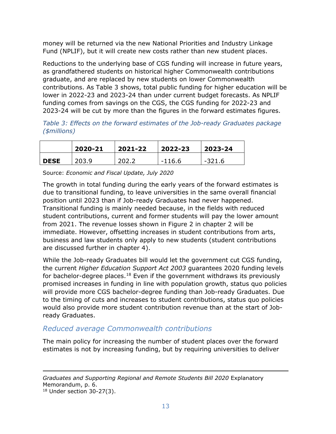money will be returned via the new National Priorities and Industry Linkage Fund (NPLIF), but it will create new costs rather than new student places.

Reductions to the underlying base of CGS funding will increase in future years, as grandfathered students on historical higher Commonwealth contributions graduate, and are replaced by new students on lower Commonwealth contributions. As [Table 3](#page-12-0) shows, total public funding for higher education will be lower in 2022-23 and 2023-24 than under current budget forecasts. As NPLIF funding comes from savings on the CGS, the CGS funding for 2022-23 and 2023-24 will be cut by more than the figures in the forward estimates figures.

<span id="page-12-0"></span>*Table 3: Effects on the forward estimates of the Job-ready Graduates package (\$millions)*

|             | 2020-21 | 2021-22 | 2022-23  | 2023-24 |
|-------------|---------|---------|----------|---------|
| <b>DESE</b> | 203.9   | 202.2   | $-116.6$ | -321.6  |

Source: *Economic and Fiscal Update, July 2020*

The growth in total funding during the early years of the forward estimates is due to transitional funding, to leave universities in the same overall financial position until 2023 than if Job-ready Graduates had never happened. Transitional funding is mainly needed because, in the fields with reduced student contributions, current and former students will pay the lower amount from 2021. The revenue losses shown in [Figure 2](#page-6-0) in chapter [2](#page-3-0) will be immediate. However, offsetting increases in student contributions from arts, business and law students only apply to new students (student contributions are discussed further in chapter [4\)](#page-20-0).

While the Job-ready Graduates bill would let the government cut CGS funding, the current *Higher Education Support Act 2003* guarantees 2020 funding levels for bachelor-degree places.<sup>[18](#page-12-1)</sup> Even if the government withdraws its previously promised increases in funding in line with population growth, status quo policies will provide more CGS bachelor-degree funding than Job-ready Graduates. Due to the timing of cuts and increases to student contributions, status quo policies would also provide more student contribution revenue than at the start of Jobready Graduates.

### *Reduced average Commonwealth contributions*

<span id="page-12-1"></span>The main policy for increasing the number of student places over the forward estimates is not by increasing funding, but by requiring universities to deliver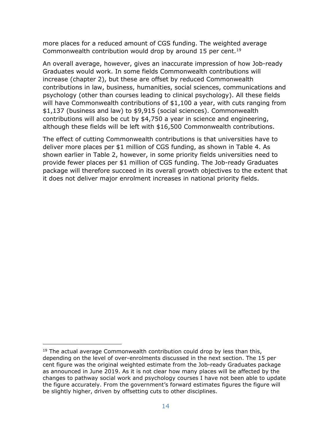more places for a reduced amount of CGS funding. The weighted average Commonwealth contribution would drop by around 15 per cent.<sup>[19](#page-13-0)</sup>

An overall average, however, gives an inaccurate impression of how Job-ready Graduates would work. In some fields Commonwealth contributions will increase (chapter 2), but these are offset by reduced Commonwealth contributions in law, business, humanities, social sciences, communications and psychology (other than courses leading to clinical psychology). All these fields will have Commonwealth contributions of \$1,100 a year, with cuts ranging from \$1,137 (business and law) to \$9,915 (social sciences). Commonwealth contributions will also be cut by \$4,750 a year in science and engineering, although these fields will be left with \$16,500 Commonwealth contributions.

The effect of cutting Commonwealth contributions is that universities have to deliver more places per \$1 million of CGS funding, as shown in [Table 4.](#page-14-0) As shown earlier in [Table 2,](#page-10-0) however, in some priority fields universities need to provide fewer places per \$1 million of CGS funding. The Job-ready Graduates package will therefore succeed in its overall growth objectives to the extent that it does not deliver major enrolment increases in national priority fields.

<span id="page-13-0"></span> $19$  The actual average Commonwealth contribution could drop by less than this, depending on the level of over-enrolments discussed in the next section. The 15 per cent figure was the original weighted estimate from the Job-ready Graduates package as announced in June 2019. As it is not clear how many places will be affected by the changes to pathway social work and psychology courses I have not been able to update the figure accurately. From the government's forward estimates figures the figure will be slightly higher, driven by offsetting cuts to other disciplines.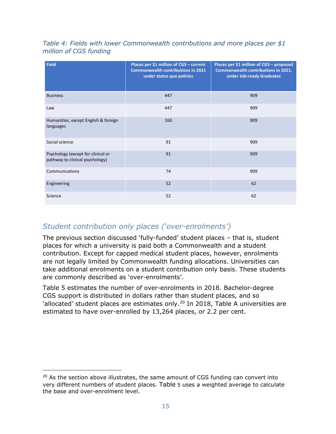<span id="page-14-0"></span>*Table 4: Fields with lower Commonwealth contributions and more places per \$1 million of CGS funding*

| <b>Field</b>                                                          | Places per \$1 million of CGS - current<br><b>Commonwealth contributions in 2021</b><br>under status quo policies | Places per \$1 million of CGS - proposed<br>Commonwealth contributions in 2021,<br>under Job-ready Graduates |
|-----------------------------------------------------------------------|-------------------------------------------------------------------------------------------------------------------|--------------------------------------------------------------------------------------------------------------|
| <b>Business</b>                                                       | 447                                                                                                               | 909                                                                                                          |
| Law                                                                   | 447                                                                                                               | 909                                                                                                          |
| Humanities, except English & foreign<br>languages                     | 160                                                                                                               | 909                                                                                                          |
| Social science                                                        | 91                                                                                                                | 909                                                                                                          |
| Psychology (except for clinical or<br>pathway to clinical psychology) | 91                                                                                                                | 909                                                                                                          |
| Communications                                                        | 74                                                                                                                | 909                                                                                                          |
| Engineering                                                           | 52                                                                                                                | 62                                                                                                           |
| Science                                                               | 52                                                                                                                | 62                                                                                                           |

### *Student contribution only places ('over-enrolments')*

The previous section discussed 'fully-funded' student places – that is, student places for which a university is paid both a Commonwealth and a student contribution. Except for capped medical student places, however, enrolments are not legally limited by Commonwealth funding allocations. Universities can take additional enrolments on a student contribution only basis. These students are commonly described as 'over-enrolments'.

[Table 5](#page-15-0) estimates the number of over-enrolments in 2018. Bachelor-degree CGS support is distributed in dollars rather than student places, and so 'allocated' student places are estimates only.<sup>[20](#page-14-1)</sup> In 2018, Table A universities are estimated to have over-enrolled by 13,264 places, or 2.2 per cent.

<span id="page-14-1"></span> $20$  As the section above illustrates, the same amount of CGS funding can convert into very different numbers of student places. [Table](#page-15-0) [5](#page-15-0) uses a weighted average to calculate the base and over-enrolment level.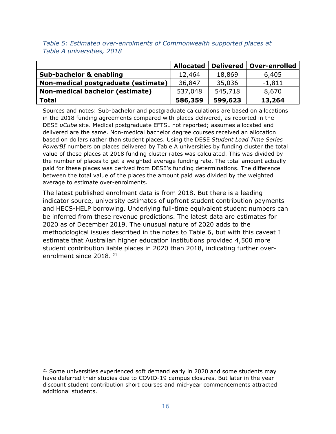|                                        | <b>Allocated</b> | <b>Delivered</b> | <b>Over-enrolled</b> |
|----------------------------------------|------------------|------------------|----------------------|
| Sub-bachelor & enabling                | 12,464           | 18,869           | 6,405                |
| Non-medical postgraduate (estimate)    | 36,847           | 35,036           | $-1,811$             |
| <b>Non-medical bachelor (estimate)</b> | 537,048          | 545,718          | 8,670                |
| <b>Total</b>                           | 586,359          | 599,623          | 13,264               |

<span id="page-15-0"></span>*Table 5: Estimated over-enrolments of Commonwealth supported places at Table A universities, 2018*

Sources and notes: Sub-bachelor and postgraduate calculations are based on allocations in the 2018 funding agreements compared with places delivered, as reported in the DESE *uCube* site. Medical postgraduate EFTSL not reported; assumes allocated and delivered are the same. Non-medical bachelor degree courses received an allocation based on dollars rather than student places. Using the DESE *Student Load Time Series PowerBI* numbers on places delivered by Table A universities by funding cluster the total value of these places at 2018 funding cluster rates was calculated. This was divided by the number of places to get a weighted average funding rate. The total amount actually paid for these places was derived from DESE's funding determinations. The difference between the total value of the places the amount paid was divided by the weighted average to estimate over-enrolments.

The latest published enrolment data is from 2018. But there is a leading indicator source, university estimates of upfront student contribution payments and HECS-HELP borrowing. Underlying full-time equivalent student numbers can be inferred from these revenue predictions. The latest data are estimates for 2020 as of December 2019. The unusual nature of 2020 adds to the methodological issues described in the notes to [Table 6,](#page-16-0) but with this caveat I estimate that Australian higher education institutions provided 4,500 more student contribution liable places in 2020 than 2018, indicating further overenrolment since 2018. [21](#page-15-1)

<span id="page-15-1"></span> $21$  Some universities experienced soft demand early in 2020 and some students may have deferred their studies due to COVID-19 campus closures. But later in the year discount student contribution short courses and mid-year commencements attracted additional students.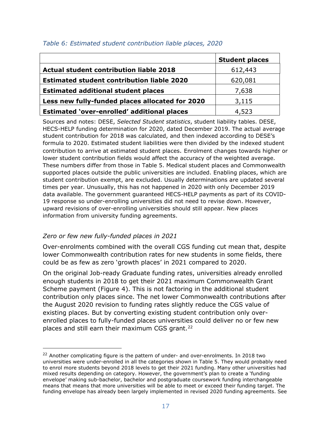|                                                   | <b>Student places</b> |
|---------------------------------------------------|-----------------------|
| <b>Actual student contribution liable 2018</b>    | 612,443               |
| <b>Estimated student contribution liable 2020</b> | 620,081               |
| <b>Estimated additional student places</b>        | 7,638                 |
| Less new fully-funded places allocated for 2020   | 3,115                 |
| Estimated 'over-enrolled' additional places       | 4,523                 |

#### <span id="page-16-0"></span>*Table 6: Estimated student contribution liable places, 2020*

Sources and notes: DESE, *Selected Student statistics*, student liability tables. DESE, HECS-HELP funding determination for 2020, dated December 2019. The actual average student contribution for 2018 was calculated, and then indexed according to DESE's formula to 2020. Estimated student liabilities were then divided by the indexed student contribution to arrive at estimated student places. Enrolment changes towards higher or lower student contribution fields would affect the accuracy of the weighted average. These numbers differ from those in [Table 5.](#page-15-0) Medical student places and Commonwealth supported places outside the public universities are included. Enabling places, which are student contribution exempt, are excluded. Usually determinations are updated several times per year. Unusually, this has not happened in 2020 with only December 2019 data available. The government guaranteed HECS-HELP payments as part of its COVID-19 response so under-enrolling universities did not need to revise down. However, upward revisions of over-enrolling universities should still appear. New places information from university funding agreements.

#### *Zero or few new fully-funded places in 2021*

Over-enrolments combined with the overall CGS funding cut mean that, despite lower Commonwealth contribution rates for new students in some fields, there could be as few as zero 'growth places' in 2021 compared to 2020.

On the original Job-ready Graduate funding rates, universities already enrolled enough students in 2018 to get their 2021 maximum Commonwealth Grant Scheme payment [\(Figure 4\)](#page-17-0). This is not factoring in the additional student contribution only places since. The net lower Commonwealth contributions after the August 2020 revision to funding rates slightly reduce the CGS value of existing places. But by converting existing student contribution only overenrolled places to fully-funded places universities could deliver no or few new places and still earn their maximum CGS grant.<sup>[22](#page-16-1)</sup>

<span id="page-16-1"></span> $22$  Another complicating figure is the pattern of under- and over-enrolments. In 2018 two universities were under-enrolled in all the categories shown in [Table 5.](#page-15-0) They would probably need to enrol more students beyond 2018 levels to get their 2021 funding. Many other universities had mixed results depending on category. However, the government's plan to create a 'funding envelope' making sub-bachelor, bachelor and postgraduate coursework funding interchangeable means that means that more universities will be able to meet or exceed their funding target. The funding envelope has already been largely implemented in revised 2020 funding agreements. See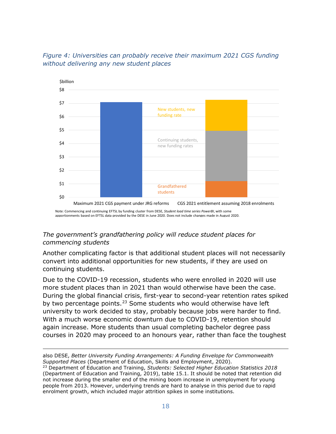

#### <span id="page-17-0"></span>*Figure 4: Universities can probably receive their maximum 2021 CGS funding without delivering any new student places*

#### *The government's grandfathering policy will reduce student places for commencing students*

Another complicating factor is that additional student places will not necessarily convert into additional opportunities for new students, if they are used on continuing students.

Due to the COVID-19 recession, students who were enrolled in 2020 will use more student places than in 2021 than would otherwise have been the case. During the global financial crisis, first-year to second-year retention rates spiked by two percentage points.<sup>[23](#page-17-1)</sup> Some students who would otherwise have left university to work decided to stay, probably because jobs were harder to find. With a much worse economic downturn due to COVID-19, retention should again increase. More students than usual completing bachelor degree pass courses in 2020 may proceed to an honours year, rather than face the toughest

also DESE, *Better University Funding Arrangements: A Funding Envelope for Commonwealth Supported Places* (Department of Education, Skills and Employment, 2020).

<span id="page-17-1"></span><sup>23</sup> Department of Education and Training, *Students: Selected Higher Education Statistics 2018* (Department of Education and Training, 2019), table 15.1. It should be noted that retention did not increase during the smaller end of the mining boom increase in unemployment for young people from 2013. However, underlying trends are hard to analyse in this period due to rapid enrolment growth, which included major attrition spikes in some institutions.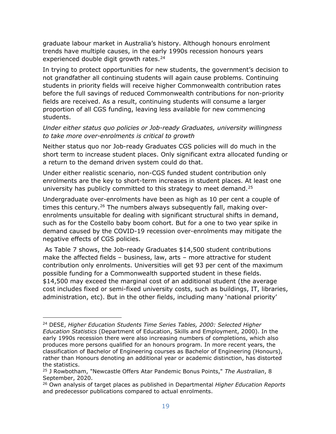graduate labour market in Australia's history. Although honours enrolment trends have multiple causes, in the early 1990s recession honours years experienced double digit growth rates.<sup>[24](#page-18-0)</sup>

In trying to protect opportunities for new students, the government's decision to not grandfather all continuing students will again cause problems. Continuing students in priority fields will receive higher Commonwealth contribution rates before the full savings of reduced Commonwealth contributions for non-priority fields are received. As a result, continuing students will consume a larger proportion of all CGS funding, leaving less available for new commencing students.

#### *Under either status quo policies or Job-ready Graduates, university willingness to take more over-enrolments is critical to growth*

Neither status quo nor Job-ready Graduates CGS policies will do much in the short term to increase student places. Only significant extra allocated funding or a return to the demand driven system could do that.

Under either realistic scenario, non-CGS funded student contribution only enrolments are the key to short-term increases in student places. At least one university has publicly committed to this strategy to meet demand.<sup>[25](#page-18-1)</sup>

Undergraduate over-enrolments have been as high as 10 per cent a couple of times this century.<sup>[26](#page-18-2)</sup> The numbers always subsequently fall, making overenrolments unsuitable for dealing with significant structural shifts in demand, such as for the Costello baby boom cohort. But for a one to two year spike in demand caused by the COVID-19 recession over-enrolments may mitigate the negative effects of CGS policies.

As [Table 7](#page-19-0) shows, the Job-ready Graduates \$14,500 student contributions make the affected fields – business, law, arts – more attractive for student contribution only enrolments. Universities will get 93 per cent of the maximum possible funding for a Commonwealth supported student in these fields. \$14,500 may exceed the marginal cost of an additional student (the average cost includes fixed or semi-fixed university costs, such as buildings, IT, libraries, administration, etc). But in the other fields, including many 'national priority'

<span id="page-18-0"></span><sup>24</sup> DESE, *Higher Education Students Time Series Tables, 2000: Selected Higher Education Statistics* (Department of Education, Skills and Employment, 2000). In the early 1990s recession there were also increasing numbers of completions, which also produces more persons qualified for an honours program. In more recent years, the classification of Bachelor of Engineering courses as Bachelor of Engineering (Honours), rather than Honours denoting an additional year or academic distinction, has distorted the statistics.

<span id="page-18-1"></span><sup>25</sup> J Rowbotham, "Newcastle Offers Atar Pandemic Bonus Points," *The Australian*, 8 September, 2020.

<span id="page-18-2"></span><sup>26</sup> Own analysis of target places as published in Departmental *Higher Education Reports* and predecessor publications compared to actual enrolments.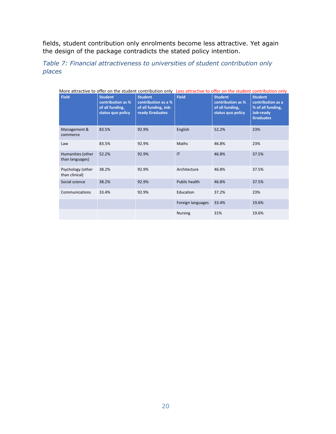fields, student contribution only enrolments become less attractive. Yet again the design of the package contradicts the stated policy intention.

<span id="page-19-0"></span>*Table 7: Financial attractiveness to universities of student contribution only places* 

| More attractive to offer on the student contribution only Less attractive to offer on the student contribution only |                                                                             |                                                                                  |                   |                                                                             |                                                                                           |
|---------------------------------------------------------------------------------------------------------------------|-----------------------------------------------------------------------------|----------------------------------------------------------------------------------|-------------------|-----------------------------------------------------------------------------|-------------------------------------------------------------------------------------------|
| <b>Field</b>                                                                                                        | <b>Student</b><br>contribution as %<br>of all funding,<br>status quo policy | <b>Student</b><br>contribution as a %<br>of all funding, Job-<br>ready Graduates | <b>Field</b>      | <b>Student</b><br>contribution as %<br>of all funding,<br>status quo policy | <b>Student</b><br>contribution as a<br>% of all funding,<br>Job-ready<br><b>Graduates</b> |
| Management &<br>commerce                                                                                            | 83.5%                                                                       | 92.9%                                                                            | English           | 52.2%                                                                       | 23%                                                                                       |
| Law                                                                                                                 | 83.5%                                                                       | 92.9%                                                                            | Maths             | 46.8%                                                                       | 23%                                                                                       |
| Humanities (other<br>than languages)                                                                                | 52.2%                                                                       | 92.9%                                                                            | IT                | 46.8%                                                                       | 37.5%                                                                                     |
| Psychology (other<br>than clinical)                                                                                 | 38.2%                                                                       | 92.9%                                                                            | Architecture      | 46.8%                                                                       | 37.5%                                                                                     |
| Social science                                                                                                      | 38.2%                                                                       | 92.9%                                                                            | Public health     | 46.8%                                                                       | 37.5%                                                                                     |
| Communications                                                                                                      | 33.4%                                                                       | 92.9%                                                                            | Education         | 37.2%                                                                       | 23%                                                                                       |
|                                                                                                                     |                                                                             |                                                                                  | Foreign languages | 33.4%                                                                       | 19.6%                                                                                     |
|                                                                                                                     |                                                                             |                                                                                  | <b>Nursing</b>    | 31%                                                                         | 19.6%                                                                                     |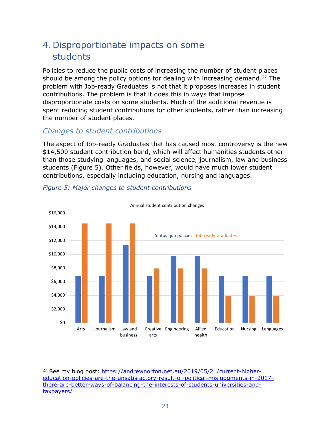## <span id="page-20-0"></span>4.Disproportionate impacts on some students

Policies to reduce the public costs of increasing the number of student places should be among the policy options for dealing with increasing demand.<sup>[27](#page-20-2)</sup> The problem with Job-ready Graduates is not that it proposes increases in student contributions. The problem is that it does this in ways that impose disproportionate costs on some students. Much of the additional revenue is spent reducing student contributions for other students, rather than increasing the number of student places.

#### *Changes to student contributions*

The aspect of Job-ready Graduates that has caused most controversy is the new \$14,500 student contribution band, which will affect humanities students other than those studying languages, and social science, journalism, law and business students [\(Figure 5\)](#page-20-1). Other fields, however, would have much lower student contributions, especially including education, nursing and languages.



#### <span id="page-20-1"></span>*Figure 5: Major changes to student contributions*

<span id="page-20-2"></span><sup>&</sup>lt;sup>27</sup> See my blog post: [https://andrewnorton.net.au/2019/05/21/current-higher](https://andrewnorton.net.au/2019/05/21/current-higher-education-policies-are-the-unsatisfactory-result-of-political-misjudgments-in-2017-there-are-better-ways-of-balancing-the-interests-of-students-universities-and-taxpayers/)[education-policies-are-the-unsatisfactory-result-of-political-misjudgments-in-2017](https://andrewnorton.net.au/2019/05/21/current-higher-education-policies-are-the-unsatisfactory-result-of-political-misjudgments-in-2017-there-are-better-ways-of-balancing-the-interests-of-students-universities-and-taxpayers/) [there-are-better-ways-of-balancing-the-interests-of-students-universities-and](https://andrewnorton.net.au/2019/05/21/current-higher-education-policies-are-the-unsatisfactory-result-of-political-misjudgments-in-2017-there-are-better-ways-of-balancing-the-interests-of-students-universities-and-taxpayers/)[taxpayers/](https://andrewnorton.net.au/2019/05/21/current-higher-education-policies-are-the-unsatisfactory-result-of-political-misjudgments-in-2017-there-are-better-ways-of-balancing-the-interests-of-students-universities-and-taxpayers/)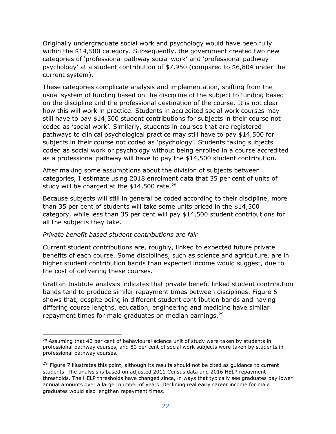Originally undergraduate social work and psychology would have been fully within the \$14,500 category. Subsequently, the government created two new categories of 'professional pathway social work' and 'professional pathway psychology' at a student contribution of \$7,950 (compared to \$6,804 under the current system).

These categories complicate analysis and implementation, shifting from the usual system of funding based on the discipline of the subject to funding based on the discipline and the professional destination of the course. It is not clear how this will work in practice. Students in accredited social work courses may still have to pay \$14,500 student contributions for subjects in their course not coded as 'social work'. Similarly, students in courses that are registered pathways to clinical psychological practice may still have to pay \$14,500 for subjects in their course not coded as 'psychology'. Students taking subjects coded as social work or psychology without being enrolled in a course accredited as a professional pathway will have to pay the \$14,500 student contribution.

After making some assumptions about the division of subjects between categories, I estimate using 2018 enrolment data that 35 per cent of units of study will be charged at the  $$14,500$  rate.<sup>[28](#page-21-0)</sup>

Because subjects will still in general be coded according to their discipline, more than 35 per cent of students will take some units priced in the \$14,500 category, while less than 35 per cent will pay \$14,500 student contributions for all the subjects they take.

#### *Private benefit based student contributions are fair*

Current student contributions are, roughly, linked to expected future private benefits of each course. Some disciplines, such as science and agriculture, are in higher student contribution bands than expected income would suggest, due to the cost of delivering these courses.

Grattan Institute analysis indicates that private benefit linked student contribution bands tend to produce similar repayment times between disciplines. [Figure 6](#page-22-0) shows that, despite being in different student contribution bands and having differing course lengths, education, engineering and medicine have similar repayment times for male graduates on median earnings.<sup>[29](#page-21-1)</sup>

<span id="page-21-0"></span> $28$  Assuming that 40 per cent of behavioural science unit of study were taken by students in professional pathway courses, and 80 per cent of social work subjects were taken by students in professional pathway courses.

<span id="page-21-1"></span> $29$  [Figure 7](#page-22-0) illustrates this point, although its results should not be cited as guidance to current students. The analysis is based on adjusted 2011 Census data and 2016 HELP repayment thresholds. The HELP thresholds have changed since, in ways that typically see graduates pay lower annual amounts over a larger number of years. Declining real early career income for male graduates would also lengthen repayment times.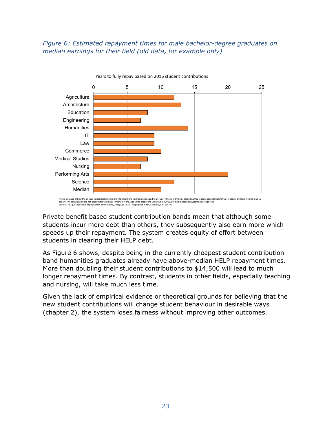#### <span id="page-22-0"></span>*Figure 6: Estimated repayment times for male bachelor-degree graduates on median earnings for their field (old data, for example only)*



Years to fully repay based on 2016 student contributions

Private benefit based student contribution bands mean that although some students incur more debt than others, they subsequently also earn more which speeds up their repayment. The system creates equity of effort between students in clearing their HELP debt.

As [Figure 6](#page-22-0) shows, despite being in the currently cheapest student contribution band humanities graduates already have above-median HELP repayment times. More than doubling their student contributions to \$14,500 will lead to much longer repayment times. By contrast, students in other fields, especially teaching and nursing, will take much less time.

Given the lack of empirical evidence or theoretical grounds for believing that the new student contributions will change student behaviour in desirable ways (chapter 2), the system loses fairness without improving other outcomes.

Notes: Because of how the Census categorises income, the maximum pre-tax income is \$125,143 per year for any individual. Based on 2016 student contribution for CSP students and real income in 2016<br>dollars. The calculation dollars. The calculation does not account for the lower threshold from 2018-19 as part of the Om Sources: ABS (2012) Census of population and housing, 2011; ABS (2015) Wage price index, Australia, Cat. 6345.0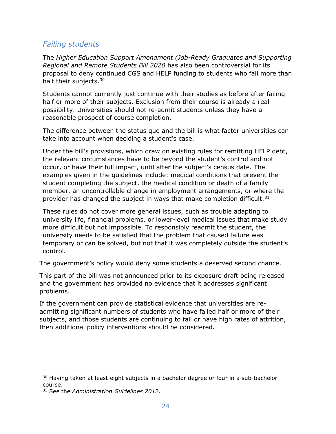### *Failing students*

The *Higher Education Support Amendment (Job-Ready Graduates and Supporting Regional and Remote Students Bill 2020* has also been controversial for its proposal to deny continued CGS and HELP funding to students who fail more than half their subjects.<sup>[30](#page-23-0)</sup>

Students cannot currently just continue with their studies as before after failing half or more of their subjects. Exclusion from their course is already a real possibility. Universities should not re-admit students unless they have a reasonable prospect of course completion.

The difference between the status quo and the bill is what factor universities can take into account when deciding a student's case.

Under the bill's provisions, which draw on existing rules for remitting HELP debt, the relevant circumstances have to be beyond the student's control and not occur, or have their full impact, until after the subject's census date. The examples given in the guidelines include: medical conditions that prevent the student completing the subject, the medical condition or death of a family member, an uncontrollable change in employment arrangements, or where the provider has changed the subject in ways that make completion difficult.  $31$ 

These rules do not cover more general issues, such as trouble adapting to university life, financial problems, or lower-level medical issues that make study more difficult but not impossible. To responsibly readmit the student, the university needs to be satisfied that the problem that caused failure was temporary or can be solved, but not that it was completely outside the student's control.

The government's policy would deny some students a deserved second chance.

This part of the bill was not announced prior to its exposure draft being released and the government has provided no evidence that it addresses significant problems.

If the government can provide statistical evidence that universities are readmitting significant numbers of students who have failed half or more of their subjects, and those students are continuing to fail or have high rates of attrition, then additional policy interventions should be considered.

<span id="page-23-0"></span><sup>&</sup>lt;sup>30</sup> Having taken at least eight subjects in a bachelor degree or four in a sub-bachelor course.

<span id="page-23-1"></span><sup>31</sup> See the *Administration Guidelines 2012*.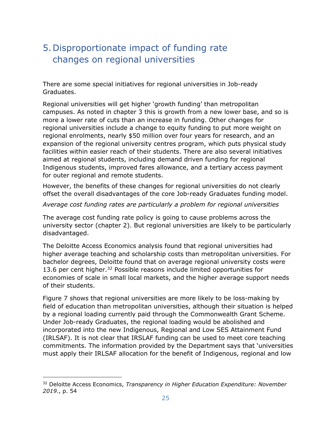## <span id="page-24-0"></span>5.Disproportionate impact of funding rate changes on regional universities

There are some special initiatives for regional universities in Job-ready Graduates.

Regional universities will get higher 'growth funding' than metropolitan campuses. As noted in chapter [3](#page-11-0) this is growth from a new lower base, and so is more a lower rate of cuts than an increase in funding. Other changes for regional universities include a change to equity funding to put more weight on regional enrolments, nearly \$50 million over four years for research, and an expansion of the regional university centres program, which puts physical study facilities within easier reach of their students. There are also several initiatives aimed at regional students, including demand driven funding for regional Indigenous students, improved fares allowance, and a tertiary access payment for outer regional and remote students.

However, the benefits of these changes for regional universities do not clearly offset the overall disadvantages of the core Job-ready Graduates funding model.

#### *Average cost funding rates are particularly a problem for regional universities*

The average cost funding rate policy is going to cause problems across the university sector (chapter [2\)](#page-3-0). But regional universities are likely to be particularly disadvantaged.

The Deloitte Access Economics analysis found that regional universities had higher average teaching and scholarship costs than metropolitan universities. For bachelor degrees, Deloitte found that on average regional university costs were 13.6 per cent higher.<sup>[32](#page-24-1)</sup> Possible reasons include limited opportunities for economies of scale in small local markets, and the higher average support needs of their students.

[Figure 7](#page-25-0) shows that regional universities are more likely to be loss-making by field of education than metropolitan universities, although their situation is helped by a regional loading currently paid through the Commonwealth Grant Scheme. Under Job-ready Graduates, the regional loading would be abolished and incorporated into the new Indigenous, Regional and Low SES Attainment Fund (IRLSAF). It is not clear that IRSLAF funding can be used to meet core teaching commitments. The information provided by the Department says that 'universities must apply their IRLSAF allocation for the benefit of Indigenous, regional and low

<span id="page-24-1"></span><sup>32</sup> Deloitte Access Economics, *Transparency in Higher Education Expenditure: November 2019*., p. 54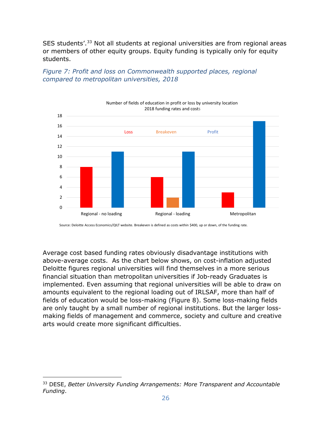SES students'.<sup>[33](#page-25-1)</sup> Not all students at regional universities are from regional areas or members of other equity groups. Equity funding is typically only for equity students.

<span id="page-25-0"></span>*Figure 7: Profit and loss on Commonwealth supported places, regional compared to metropolitan universities, 2018*



Source: Deloitte Access Economics/QILT website. Breakeven is defined as costs within \$400, up or down, of the funding rate.

Average cost based funding rates obviously disadvantage institutions with above-average costs. As the chart below shows, on cost-inflation adjusted Deloitte figures regional universities will find themselves in a more serious financial situation than metropolitan universities if Job-ready Graduates is implemented. Even assuming that regional universities will be able to draw on amounts equivalent to the regional loading out of IRLSAF, more than half of fields of education would be loss-making [\(Figure 8\)](#page-26-0). Some loss-making fields are only taught by a small number of regional institutions. But the larger lossmaking fields of management and commerce, society and culture and creative arts would create more significant difficulties.

<span id="page-25-1"></span><sup>33</sup> DESE, *Better University Funding Arrangements: More Transparent and Accountable Funding*.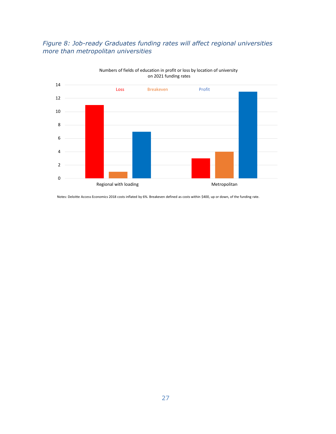#### <span id="page-26-0"></span>*Figure 8: Job-ready Graduates funding rates will affect regional universities more than metropolitan universities*



Numbers of fields of education in profit or loss by location of university on 2021 funding rates

Notes: Deloitte Access Economics 2018 costs inflated by 6%. Breakeven defined as costs within \$400, up or down, of the funding rate.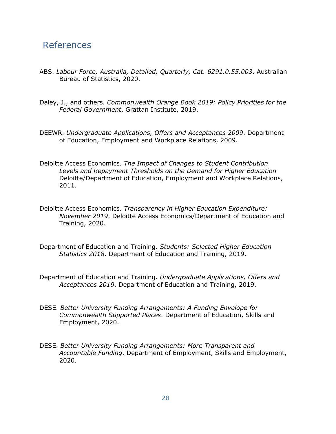### References

- ABS. *Labour Force, Australia, Detailed, Quarterly, Cat. 6291.0.55.003*. Australian Bureau of Statistics, 2020.
- Daley, J., and others. *Commonwealth Orange Book 2019: Policy Priorities for the Federal Government*. Grattan Institute, 2019.
- DEEWR. *Undergraduate Applications, Offers and Acceptances 2009*. Department of Education, Employment and Workplace Relations, 2009.
- Deloitte Access Economics. *The Impact of Changes to Student Contribution Levels and Repayment Thresholds on the Demand for Higher Education*  Deloitte/Department of Education, Employment and Workplace Relations, 2011.
- Deloitte Access Economics. *Transparency in Higher Education Expenditure: November 2019*. Deloitte Access Economics/Department of Education and Training, 2020.
- Department of Education and Training. *Students: Selected Higher Education Statistics 2018*. Department of Education and Training, 2019.
- Department of Education and Training. *Undergraduate Applications, Offers and Acceptances 2019*. Department of Education and Training, 2019.
- DESE. *Better University Funding Arrangements: A Funding Envelope for Commonwealth Supported Places*. Department of Education, Skills and Employment, 2020.
- DESE. *Better University Funding Arrangements: More Transparent and Accountable Funding*. Department of Employment, Skills and Employment, 2020.